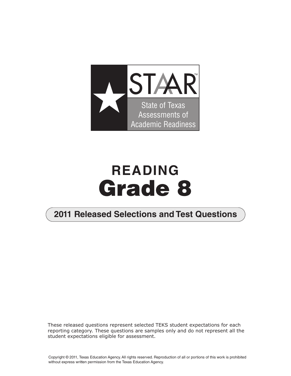

## **READING Grade 8**

## **2011 Released Selections and Test Questions**

These released questions represent selected TEKS student expectations for each reporting category. These questions are samples only and do not represent all the student expectations eligible for assessment.

Copyright © 2011, Texas Education Agency. All rights reserved. Reproduction of all or portions of this work is prohibited without express written permission from the Texas Education Agency.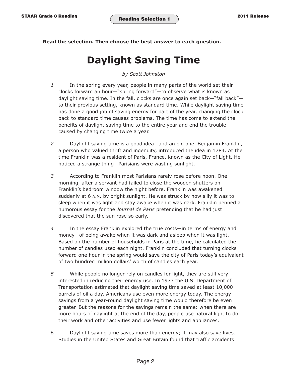**Read the selection. Then choose the best answer to each question.** 

## **Daylight Saving Time**

*by Scott Johnston* 

- *1* In the spring every year, people in many parts of the world set their clocks forward an hour—"spring forward"—to observe what is known as daylight saving time. In the fall, clocks are once again set back—"fall back" to their previous setting, known as standard time. While daylight saving time has done a good job of saving energy for part of the year, changing the clock back to standard time causes problems. The time has come to extend the benefits of daylight saving time to the entire year and end the trouble caused by changing time twice a year.
- *2* Daylight saving time is a good idea—and an old one. Benjamin Franklin, a person who valued thrift and ingenuity, introduced the idea in 1784. At the time Franklin was a resident of Paris, France, known as the City of Light. He noticed a strange thing—Parisians were wasting sunlight.
- *3* According to Franklin most Parisians rarely rose before noon. One morning, after a servant had failed to close the wooden shutters on Franklin's bedroom window the night before, Franklin was awakened suddenly at 6 A.M. by bright sunlight. He was struck by how silly it was to sleep when it was light and stay awake when it was dark. Franklin penned a humorous essay for the *Journal de Paris* pretending that he had just discovered that the sun rose so early.
- *4* In the essay Franklin explored the true costs—in terms of energy and money—of being awake when it was dark and asleep when it was light. Based on the number of households in Paris at the time, he calculated the number of candles used each night. Franklin concluded that turning clocks forward one hour in the spring would save the city of Paris today's equivalent of two hundred million dollars' worth of candles each year.
- *5* While people no longer rely on candles for light, they are still very interested in reducing their energy use. In 1973 the U.S. Department of Transportation estimated that daylight saving time saved at least 10,000 barrels of oil a day. Americans use even more energy today. The energy savings from a year-round daylight saving time would therefore be even greater. But the reasons for the savings remain the same: when there are more hours of daylight at the end of the day, people use natural light to do their work and other activities and use fewer lights and appliances.
- *6* Daylight saving time saves more than energy; it may also save lives. Studies in the United States and Great Britain found that traffic accidents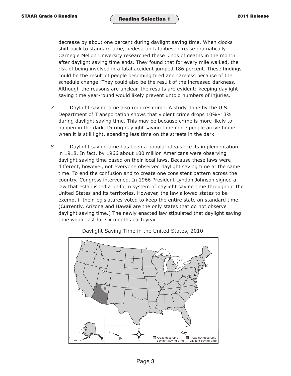decrease by about one percent during daylight saving time. When clocks shift back to standard time, pedestrian fatalities increase dramatically. Carnegie Mellon University researched these kinds of deaths in the month after daylight saving time ends. They found that for every mile walked, the risk of being involved in a fatal accident jumped 186 percent. These findings could be the result of people becoming tired and careless because of the schedule change. They could also be the result of the increased darkness. Although the reasons are unclear, the results are evident: keeping daylight saving time year-round would likely prevent untold numbers of injuries.

- *7* Daylight saving time also reduces crime. A study done by the U.S. Department of Transportation shows that violent crime drops 10%–13% during daylight saving time. This may be because crime is more likely to happen in the dark. During daylight saving time more people arrive home when it is still light, spending less time on the streets in the dark.
- *8* Daylight saving time has been a popular idea since its implementation in 1918. In fact, by 1966 about 100 million Americans were observing daylight saving time based on their local laws. Because these laws were different, however, not everyone observed daylight saving time at the same time. To end the confusion and to create one consistent pattern across the country, Congress intervened. In 1966 President Lyndon Johnson signed a law that established a uniform system of daylight saving time throughout the United States and its territories. However, the law allowed states to be exempt if their legislatures voted to keep the entire state on standard time. (Currently, Arizona and Hawaii are the only states that do not observe daylight saving time.) The newly enacted law stipulated that daylight saving time would last for six months each year.



Daylight Saving Time in the United States, 2010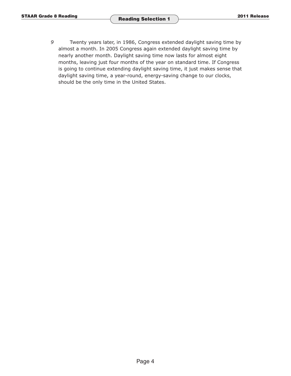*9* Twenty years later, in 1986, Congress extended daylight saving time by almost a month. In 2005 Congress again extended daylight saving time by nearly another month. Daylight saving time now lasts for almost eight months, leaving just four months of the year on standard time. If Congress is going to continue extending daylight saving time, it just makes sense that daylight saving time, a year-round, energy-saving change to our clocks, should be the only time in the United States.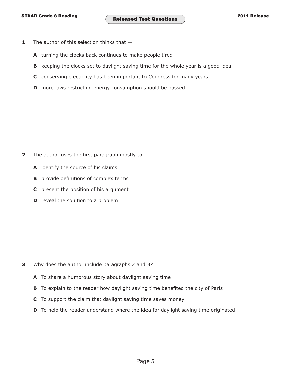- **1** The author of this selection thinks that  $-$ 
	- **A** turning the clocks back continues to make people tired
	- **B** keeping the clocks set to daylight saving time for the whole year is a good idea
	- **C** conserving electricity has been important to Congress for many years
	- **D** more laws restricting energy consumption should be passed

- **2** The author uses the first paragraph mostly to
	- **A** identify the source of his claims
	- **B** provide definitions of complex terms
	- **C** present the position of his argument
	- **D** reveal the solution to a problem

- **3** Why does the author include paragraphs 2 and 3?
	- **A** To share a humorous story about daylight saving time
	- **B** To explain to the reader how daylight saving time benefited the city of Paris
	- **C** To support the claim that daylight saving time saves money
	- **D** To help the reader understand where the idea for daylight saving time originated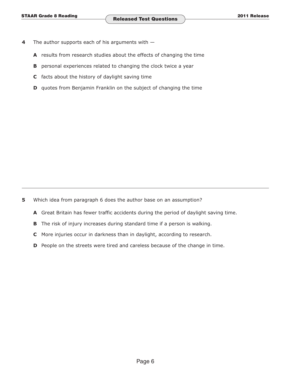- **4** The author supports each of his arguments with  $-$ 
	- **A** results from research studies about the effects of changing the time
	- **B** personal experiences related to changing the clock twice a year
	- **C** facts about the history of daylight saving time
	- **D** quotes from Benjamin Franklin on the subject of changing the time

**5** Which idea from paragraph 6 does the author base on an assumption?

- **A** Great Britain has fewer traffic accidents during the period of daylight saving time.
- **B** The risk of injury increases during standard time if a person is walking.
- **C** More injuries occur in darkness than in daylight, according to research.
- **D** People on the streets were tired and careless because of the change in time.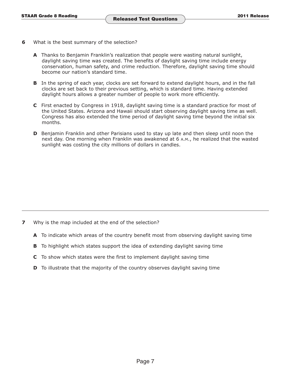- **6** What is the best summary of the selection?
	- **A** Thanks to Benjamin Franklin's realization that people were wasting natural sunlight, daylight saving time was created. The benefits of daylight saving time include energy conservation, human safety, and crime reduction. Therefore, daylight saving time should become our nation's standard time.
	- **B** In the spring of each year, clocks are set forward to extend daylight hours, and in the fall clocks are set back to their previous setting, which is standard time. Having extended daylight hours allows a greater number of people to work more efficiently.
	- **C** First enacted by Congress in 1918, daylight saving time is a standard practice for most of the United States. Arizona and Hawaii should start observing daylight saving time as well. Congress has also extended the time period of daylight saving time beyond the initial six months.
	- **D** Benjamin Franklin and other Parisians used to stay up late and then sleep until noon the next day. One morning when Franklin was awakened at 6 A.M., he realized that the wasted sunlight was costing the city millions of dollars in candles.

- **7** Why is the map included at the end of the selection?
	- **A** To indicate which areas of the country benefit most from observing daylight saving time
	- **B** To highlight which states support the idea of extending daylight saving time
	- **C** To show which states were the first to implement daylight saving time
	- **D** To illustrate that the majority of the country observes daylight saving time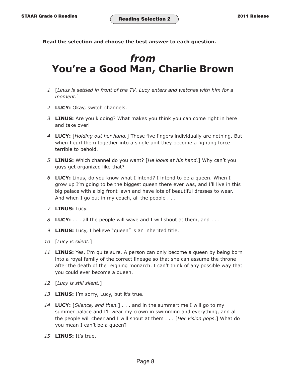**Read the selection and choose the best answer to each question.** 

## *from* **You're a Good Man, Charlie Brown**

- *1* [*Linus is settled in front of the TV. Lucy enters and watches with him for a moment.*]
- 2 **LUCY:** Okay, switch channels.
- **3 LINUS:** Are you kidding? What makes you think you can come right in here and take over!
- *4* **LUCY:** [*Holding out her hand.*] These five fingers individually are nothing. But when I curl them together into a single unit they become a fighting force terrible to behold.
- *5* **LINUS:** Which channel do you want? [*He looks at his hand.*] Why can't you guys get organized like that?
- *6* **LUCY:** Linus, do you know what I intend? I intend to be a queen. When I grow up I'm going to be the biggest queen there ever was, and I'll live in this big palace with a big front lawn and have lots of beautiful dresses to wear. And when I go out in my coach, all the people . . .
- *7* **LINUS:** Lucy.
- 8 **LUCY:** . . . all the people will wave and I will shout at them, and . . .
- 9 **LINUS:** Lucy, I believe "queen" is an inherited title.
- *10* [*Lucy is silent.*]
- *11* **LINUS:** Yes, I'm quite sure. A person can only become a queen by being born into a royal family of the correct lineage so that she can assume the throne after the death of the reigning monarch. I can't think of any possible way that you could ever become a queen.
- *12* [*Lucy is still silent.*]
- 13 **LINUS:** I'm sorry, Lucy, but it's true.
- 14 **LUCY:** [Silence, and then.] . . . and in the summertime I will go to my summer palace and I'll wear my crown in swimming and everything, and all the people will cheer and I will shout at them . . . [*Her vision pops.*] What do you mean I can't be a queen?
- *15* **LINUS:** It's true.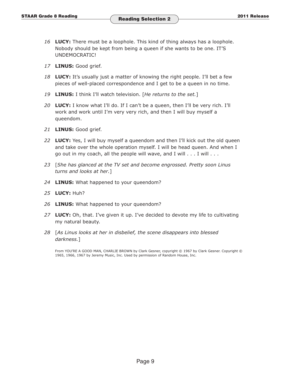- 16 **LUCY:** There must be a loophole. This kind of thing always has a loophole. Nobody should be kept from being a queen if she wants to be one. IT'S UNDEMOCRATIC!
- *17* **LINUS:** Good grief.
- *18* **LUCY:** It's usually just a matter of knowing the right people. I'll bet a few pieces of well-placed correspondence and I get to be a queen in no time.
- 19 **LINUS:** I think I'll watch television. [He returns to the set.]
- 20 **LUCY:** I know what I'll do. If I can't be a queen, then I'll be very rich. I'll work and work until I'm very very rich, and then I will buy myself a queendom.
- 21 **LINUS:** Good grief.
- *22* **LUCY:** Yes, I will buy myself a queendom and then I'll kick out the old queen and take over the whole operation myself. I will be head queen. And when I go out in my coach, all the people will wave, and I will . . . I will . . .
- *23* [*She has glanced at the TV set and become engrossed. Pretty soon Linus turns and looks at her.*]
- 24 **LINUS:** What happened to your queendom?
- 25 **LUCY:** Huh?
- 26 **LINUS:** What happened to your queendom?
- 27 **LUCY:** Oh, that. I've given it up. I've decided to devote my life to cultivating my natural beauty.
- *28* [*As Linus looks at her in disbelief, the scene disappears into blessed darkness.*]

From YOU'RE A GOOD MAN, CHARLIE BROWN by Clark Gesner, copyright © 1967 by Clark Gesner. Copyright © 1965, 1966, 1967 by Jeremy Music, Inc. Used by permission of Random House, Inc.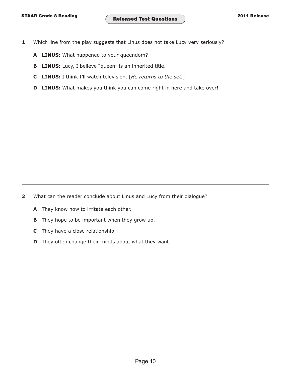- **1** Which line from the play suggests that Linus does not take Lucy very seriously?
	- **A LINUS:** What happened to your queendom?
	- **B LINUS:** Lucy, I believe "queen" is an inherited title.
	- **C LINUS:** I think I'll watch television. [*He returns to the set.*]
	- **D LINUS:** What makes you think you can come right in here and take over!

**2** What can the reader conclude about Linus and Lucy from their dialogue?

- **A** They know how to irritate each other.
- **B** They hope to be important when they grow up.
- **C** They have a close relationship.
- **D** They often change their minds about what they want.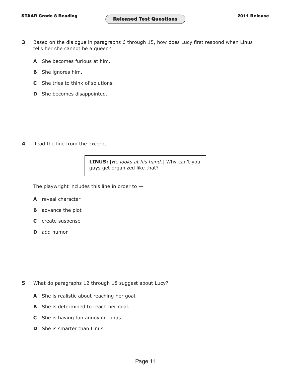- **3** Based on the dialogue in paragraphs 6 through 15, how does Lucy first respond when Linus tells her she cannot be a queen?
	- **A** She becomes furious at him.
	- **B** She ignores him.
	- **C** She tries to think of solutions.
	- **D** She becomes disappointed.

**4** Read the line from the excerpt.

**LINUS:** [*He looks at his hand.*] Why can't you guys get organized like that?

The playwright includes this line in order to  $-$ 

- **A** reveal character
- **B** advance the plot
- **C** create suspense
- **D** add humor

- **5** What do paragraphs 12 through 18 suggest about Lucy?
	- **A** She is realistic about reaching her goal.
	- **B** She is determined to reach her goal.
	- **C** She is having fun annoying Linus.
	- **D** She is smarter than Linus.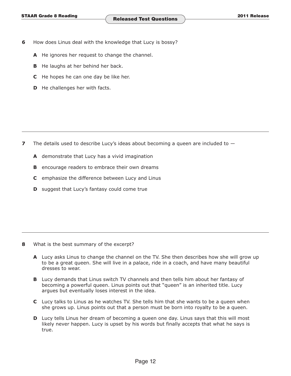- **6** How does Linus deal with the knowledge that Lucy is bossy?
	- **A** He ignores her request to change the channel.
	- **B** He laughs at her behind her back.
	- **C** He hopes he can one day be like her.
	- **D** He challenges her with facts.

- **7** The details used to describe Lucy's ideas about becoming a queen are included to  $-$ 
	- **A** demonstrate that Lucy has a vivid imagination
	- **B** encourage readers to embrace their own dreams
	- **C** emphasize the difference between Lucy and Linus
	- **D** suggest that Lucy's fantasy could come true

- **8** What is the best summary of the excerpt?
	- **A** Lucy asks Linus to change the channel on the TV. She then describes how she will grow up to be a great queen. She will live in a palace, ride in a coach, and have many beautiful dresses to wear.
	- **B** Lucy demands that Linus switch TV channels and then tells him about her fantasy of becoming a powerful queen. Linus points out that "queen" is an inherited title. Lucy argues but eventually loses interest in the idea.
	- **C** Lucy talks to Linus as he watches TV. She tells him that she wants to be a queen when she grows up. Linus points out that a person must be born into royalty to be a queen.
	- **D** Lucy tells Linus her dream of becoming a queen one day. Linus says that this will most likely never happen. Lucy is upset by his words but finally accepts that what he says is true.